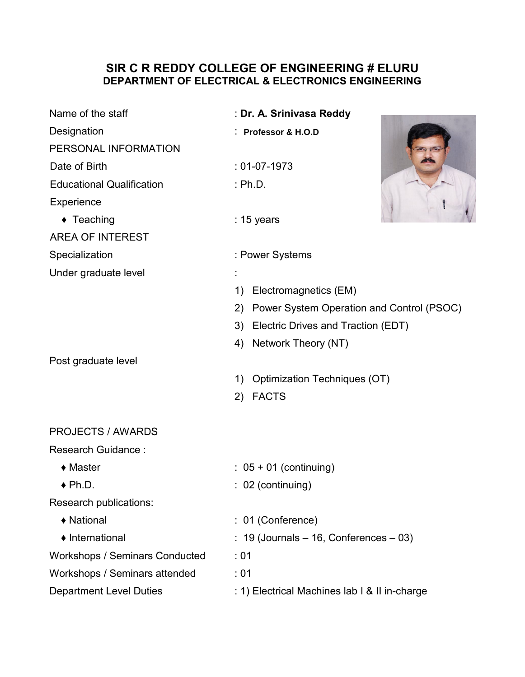## SIR C R REDDY COLLEGE OF ENGINEERING # ELURU DEPARTMENT OF ELECTRICAL & ELECTRONICS ENGINEERING

| Name of the staff                     | : Dr. A. Srinivasa Reddy                        |
|---------------------------------------|-------------------------------------------------|
|                                       |                                                 |
| Designation                           | : Professor & H.O.D                             |
| PERSONAL INFORMATION                  |                                                 |
| Date of Birth                         | $: 01-07-1973$                                  |
| <b>Educational Qualification</b>      | : Ph.D.                                         |
| Experience                            |                                                 |
| $\triangleleft$ Teaching              | $: 15$ years                                    |
| <b>AREA OF INTEREST</b>               |                                                 |
| Specialization                        | : Power Systems                                 |
| Under graduate level                  |                                                 |
|                                       | Electromagnetics (EM)<br>1)                     |
|                                       | Power System Operation and Control (PSOC)<br>2) |
|                                       | Electric Drives and Traction (EDT)<br>3)        |
|                                       | Network Theory (NT)<br>4)                       |
| Post graduate level                   |                                                 |
|                                       | Optimization Techniques (OT)<br>1)              |
|                                       | <b>FACTS</b><br>2)                              |
| <b>PROJECTS / AWARDS</b>              |                                                 |
| <b>Research Guidance:</b>             |                                                 |
| $\triangleleft$ Master                | $: 05 + 01$ (continuing)                        |
| $\blacklozenge$ Ph.D.                 | $: 02$ (continuing)                             |
| Research publications:                |                                                 |
| ◆ National                            | : 01 (Conference)                               |
| • International                       | $: 19$ (Journals $-16$ , Conferences $-03$ )    |
| <b>Workshops / Seminars Conducted</b> | :01                                             |
| Workshops / Seminars attended         | :01                                             |
| <b>Department Level Duties</b>        | : 1) Electrical Machines lab I & II in-charge   |